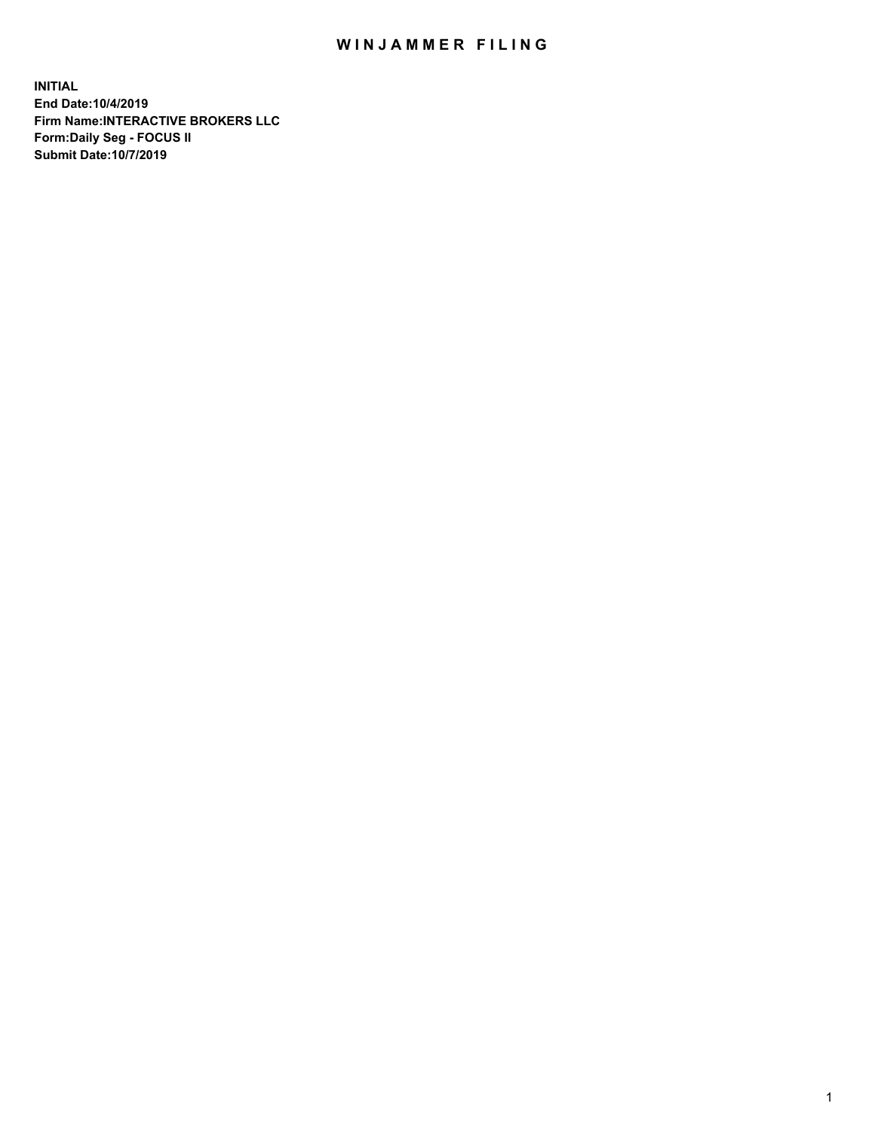## WIN JAMMER FILING

**INITIAL End Date:10/4/2019 Firm Name:INTERACTIVE BROKERS LLC Form:Daily Seg - FOCUS II Submit Date:10/7/2019**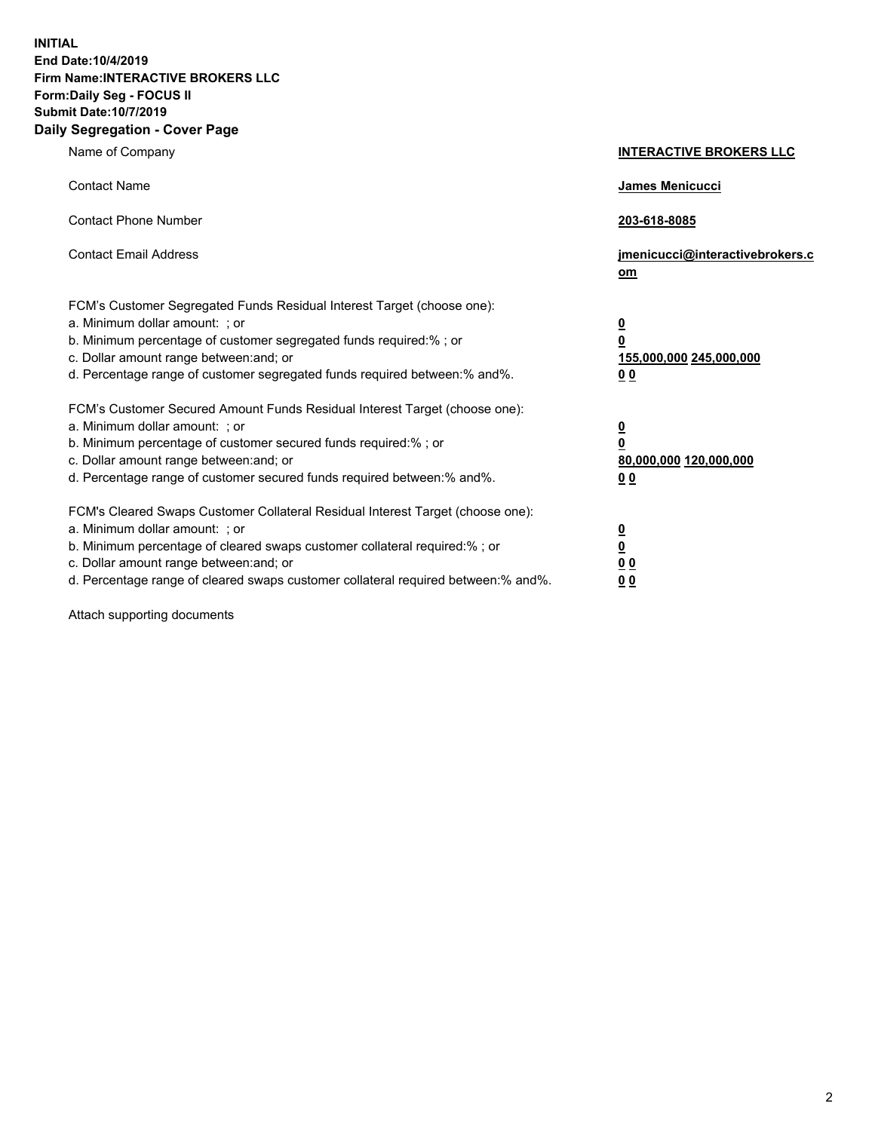**INITIAL End Date:10/4/2019 Firm Name:INTERACTIVE BROKERS LLC Form:Daily Seg - FOCUS II Submit Date:10/7/2019 Daily Segregation - Cover Page**

| Name of Company                                                                                                                                                                                                                                                                                                                | <b>INTERACTIVE BROKERS LLC</b>                                                                  |
|--------------------------------------------------------------------------------------------------------------------------------------------------------------------------------------------------------------------------------------------------------------------------------------------------------------------------------|-------------------------------------------------------------------------------------------------|
| <b>Contact Name</b>                                                                                                                                                                                                                                                                                                            | James Menicucci                                                                                 |
| <b>Contact Phone Number</b>                                                                                                                                                                                                                                                                                                    | 203-618-8085                                                                                    |
| <b>Contact Email Address</b>                                                                                                                                                                                                                                                                                                   | jmenicucci@interactivebrokers.c<br>om                                                           |
| FCM's Customer Segregated Funds Residual Interest Target (choose one):<br>a. Minimum dollar amount: ; or<br>b. Minimum percentage of customer segregated funds required:% ; or<br>c. Dollar amount range between: and; or<br>d. Percentage range of customer segregated funds required between:% and%.                         | $\overline{\mathbf{0}}$<br>$\overline{\mathbf{0}}$<br>155,000,000 245,000,000<br>0 <sub>0</sub> |
| FCM's Customer Secured Amount Funds Residual Interest Target (choose one):<br>a. Minimum dollar amount: ; or<br>b. Minimum percentage of customer secured funds required:% ; or<br>c. Dollar amount range between: and; or<br>d. Percentage range of customer secured funds required between:% and%.                           | $\overline{\mathbf{0}}$<br>0<br>80,000,000 120,000,000<br>0 <sub>0</sub>                        |
| FCM's Cleared Swaps Customer Collateral Residual Interest Target (choose one):<br>a. Minimum dollar amount: ; or<br>b. Minimum percentage of cleared swaps customer collateral required:% ; or<br>c. Dollar amount range between: and; or<br>d. Percentage range of cleared swaps customer collateral required between:% and%. | $\overline{\mathbf{0}}$<br><u>0</u><br>$\underline{0}$ $\underline{0}$<br>00                    |

Attach supporting documents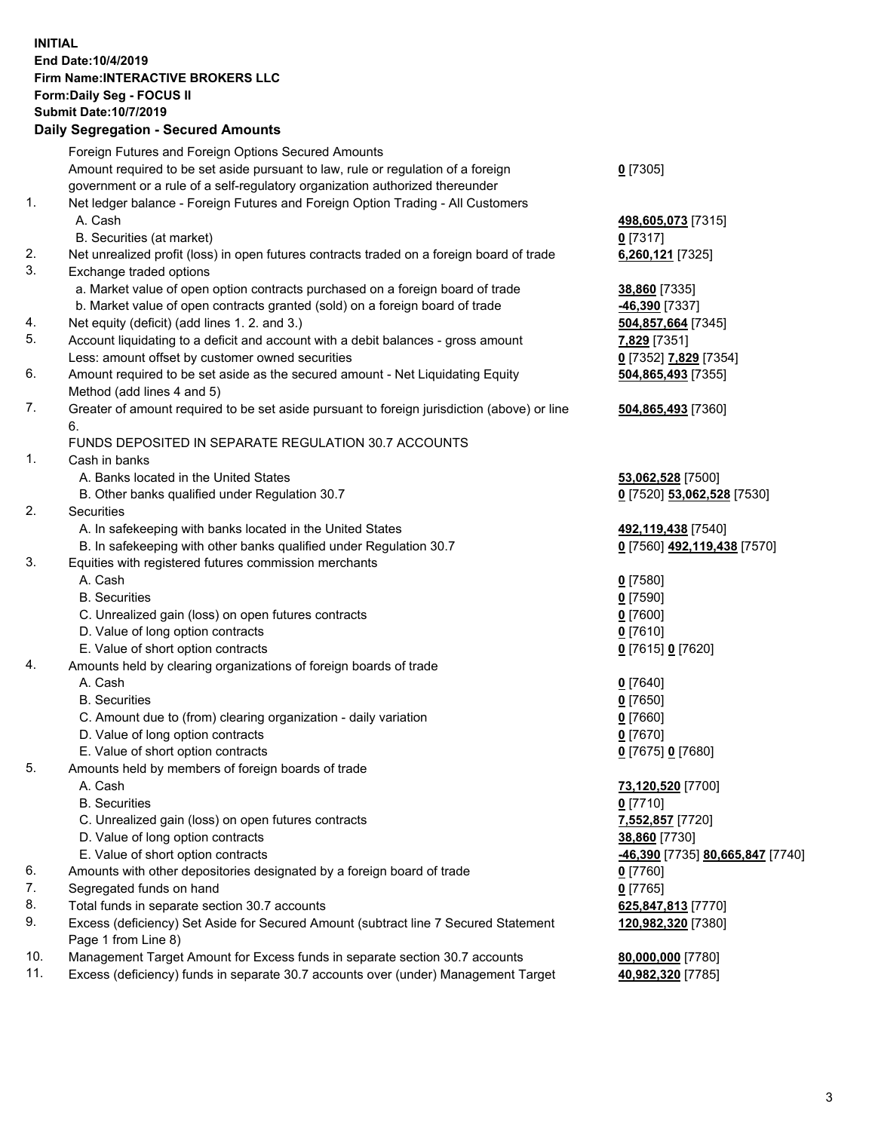## **INITIAL End Date:10/4/2019 Firm Name:INTERACTIVE BROKERS LLC Form:Daily Seg - FOCUS II Submit Date:10/7/2019 Daily Segregation - Secured Amounts**

|     | Daily Jegregation - Jeculed Aniounts                                                        |                                  |
|-----|---------------------------------------------------------------------------------------------|----------------------------------|
|     | Foreign Futures and Foreign Options Secured Amounts                                         |                                  |
|     | Amount required to be set aside pursuant to law, rule or regulation of a foreign            | $0$ [7305]                       |
|     | government or a rule of a self-regulatory organization authorized thereunder                |                                  |
| 1.  | Net ledger balance - Foreign Futures and Foreign Option Trading - All Customers             |                                  |
|     | A. Cash                                                                                     | 498,605,073 [7315]               |
|     | B. Securities (at market)                                                                   | 0 [7317]                         |
| 2.  | Net unrealized profit (loss) in open futures contracts traded on a foreign board of trade   | 6,260,121 [7325]                 |
| 3.  | Exchange traded options                                                                     |                                  |
|     | a. Market value of open option contracts purchased on a foreign board of trade              | 38,860 [7335]                    |
|     | b. Market value of open contracts granted (sold) on a foreign board of trade                | -46,390 [7337]                   |
| 4.  | Net equity (deficit) (add lines 1.2. and 3.)                                                | 504,857,664 [7345]               |
| 5.  | Account liquidating to a deficit and account with a debit balances - gross amount           | 7,829 [7351]                     |
|     | Less: amount offset by customer owned securities                                            | 0 [7352] 7,829 [7354]            |
| 6.  | Amount required to be set aside as the secured amount - Net Liquidating Equity              | 504,865,493 [7355]               |
|     | Method (add lines 4 and 5)                                                                  |                                  |
| 7.  | Greater of amount required to be set aside pursuant to foreign jurisdiction (above) or line | 504,865,493 [7360]               |
|     | 6.                                                                                          |                                  |
|     | FUNDS DEPOSITED IN SEPARATE REGULATION 30.7 ACCOUNTS                                        |                                  |
| 1.  | Cash in banks                                                                               |                                  |
|     | A. Banks located in the United States                                                       | 53,062,528 [7500]                |
| 2.  | B. Other banks qualified under Regulation 30.7                                              | 0 [7520] 53,062,528 [7530]       |
|     | Securities                                                                                  |                                  |
|     | A. In safekeeping with banks located in the United States                                   | 492,119,438 [7540]               |
| 3.  | B. In safekeeping with other banks qualified under Regulation 30.7                          | 0 [7560] 492,119,438 [7570]      |
|     | Equities with registered futures commission merchants<br>A. Cash                            | $0$ [7580]                       |
|     | <b>B.</b> Securities                                                                        | $0$ [7590]                       |
|     | C. Unrealized gain (loss) on open futures contracts                                         | $0$ [7600]                       |
|     | D. Value of long option contracts                                                           | $0$ [7610]                       |
|     | E. Value of short option contracts                                                          | 0 [7615] 0 [7620]                |
| 4.  | Amounts held by clearing organizations of foreign boards of trade                           |                                  |
|     | A. Cash                                                                                     | $0$ [7640]                       |
|     | <b>B.</b> Securities                                                                        | $0$ [7650]                       |
|     | C. Amount due to (from) clearing organization - daily variation                             | $0$ [7660]                       |
|     | D. Value of long option contracts                                                           | $0$ [7670]                       |
|     | E. Value of short option contracts                                                          | 0 [7675] 0 [7680]                |
| 5.  | Amounts held by members of foreign boards of trade                                          |                                  |
|     | A. Cash                                                                                     | 73,120,520 [7700]                |
|     | <b>B.</b> Securities                                                                        | $0$ [7710]                       |
|     | C. Unrealized gain (loss) on open futures contracts                                         | 7,552,857 [7720]                 |
|     | D. Value of long option contracts                                                           | 38,860 [7730]                    |
|     | E. Value of short option contracts                                                          | -46,390 [7735] 80,665,847 [7740] |
| 6.  | Amounts with other depositories designated by a foreign board of trade                      | $0$ [7760]                       |
| 7.  | Segregated funds on hand                                                                    | $0$ [7765]                       |
| 8.  | Total funds in separate section 30.7 accounts                                               | 625,847,813 [7770]               |
| 9.  | Excess (deficiency) Set Aside for Secured Amount (subtract line 7 Secured Statement         | 120,982,320 [7380]               |
|     | Page 1 from Line 8)                                                                         |                                  |
| 10. | Management Target Amount for Excess funds in separate section 30.7 accounts                 | 80,000,000 [7780]                |
| 11. | Excess (deficiency) funds in separate 30.7 accounts over (under) Management Target          | 40,982,320 [7785]                |
|     |                                                                                             |                                  |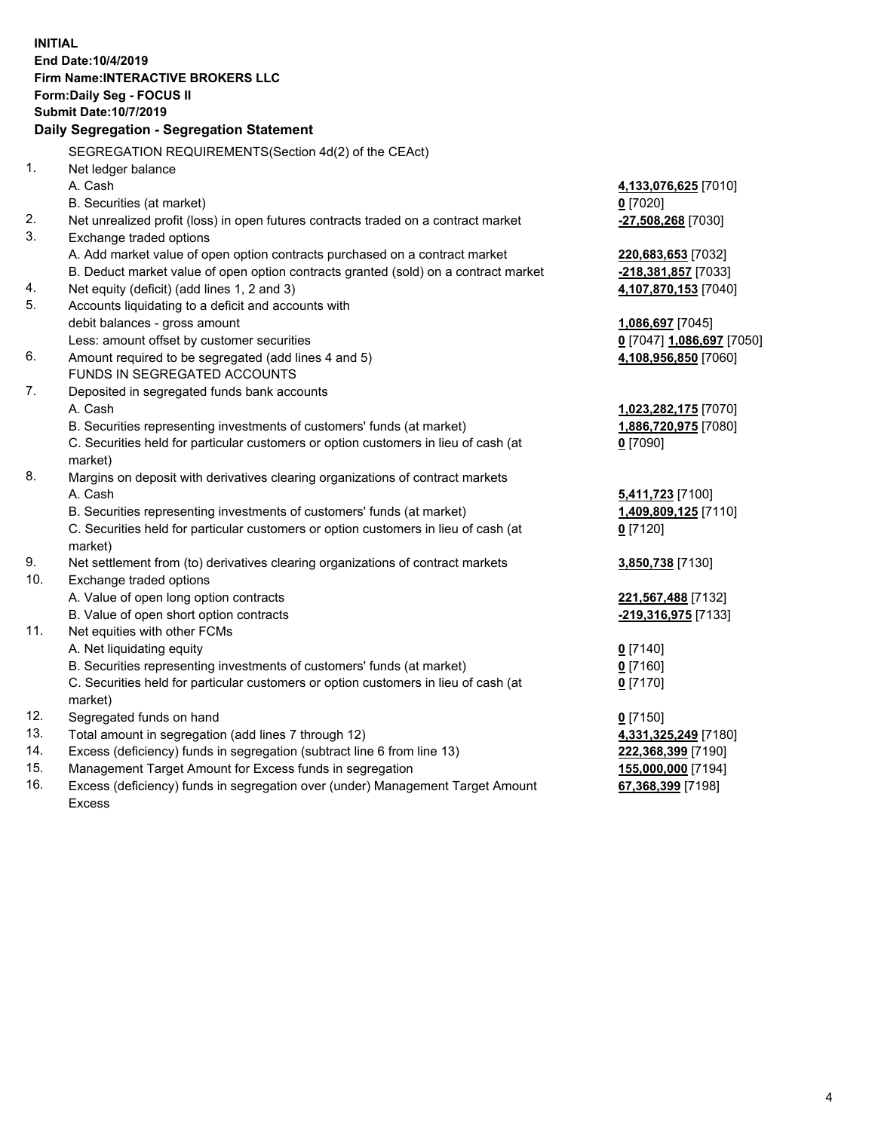**INITIAL End Date:10/4/2019 Firm Name:INTERACTIVE BROKERS LLC Form:Daily Seg - FOCUS II Submit Date:10/7/2019 Daily Segregation - Segregation Statement** SEGREGATION REQUIREMENTS(Section 4d(2) of the CEAct) 1. Net ledger balance A. Cash **4,133,076,625** [7010] B. Securities (at market) **0** [7020] 2. Net unrealized profit (loss) in open futures contracts traded on a contract market **-27,508,268** [7030] 3. Exchange traded options A. Add market value of open option contracts purchased on a contract market **220,683,653** [7032] B. Deduct market value of open option contracts granted (sold) on a contract market **-218,381,857** [7033] 4. Net equity (deficit) (add lines 1, 2 and 3) **4,107,870,153** [7040] 5. Accounts liquidating to a deficit and accounts with debit balances - gross amount **1,086,697** [7045] Less: amount offset by customer securities **0** [7047] **1,086,697** [7050] 6. Amount required to be segregated (add lines 4 and 5) **4,108,956,850** [7060] FUNDS IN SEGREGATED ACCOUNTS 7. Deposited in segregated funds bank accounts A. Cash **1,023,282,175** [7070] B. Securities representing investments of customers' funds (at market) **1,886,720,975** [7080] C. Securities held for particular customers or option customers in lieu of cash (at market) **0** [7090] 8. Margins on deposit with derivatives clearing organizations of contract markets A. Cash **5,411,723** [7100] B. Securities representing investments of customers' funds (at market) **1,409,809,125** [7110] C. Securities held for particular customers or option customers in lieu of cash (at market) **0** [7120] 9. Net settlement from (to) derivatives clearing organizations of contract markets **3,850,738** [7130] 10. Exchange traded options A. Value of open long option contracts **221,567,488** [7132] B. Value of open short option contracts **-219,316,975** [7133] 11. Net equities with other FCMs A. Net liquidating equity **0** [7140] B. Securities representing investments of customers' funds (at market) **0** [7160] C. Securities held for particular customers or option customers in lieu of cash (at market) **0** [7170] 12. Segregated funds on hand **0** [7150] 13. Total amount in segregation (add lines 7 through 12) **4,331,325,249** [7180] 14. Excess (deficiency) funds in segregation (subtract line 6 from line 13) **222,368,399** [7190] 15. Management Target Amount for Excess funds in segregation **155,000,000** [7194] 16. Excess (deficiency) funds in segregation over (under) Management Target Amount **67,368,399** [7198]

Excess